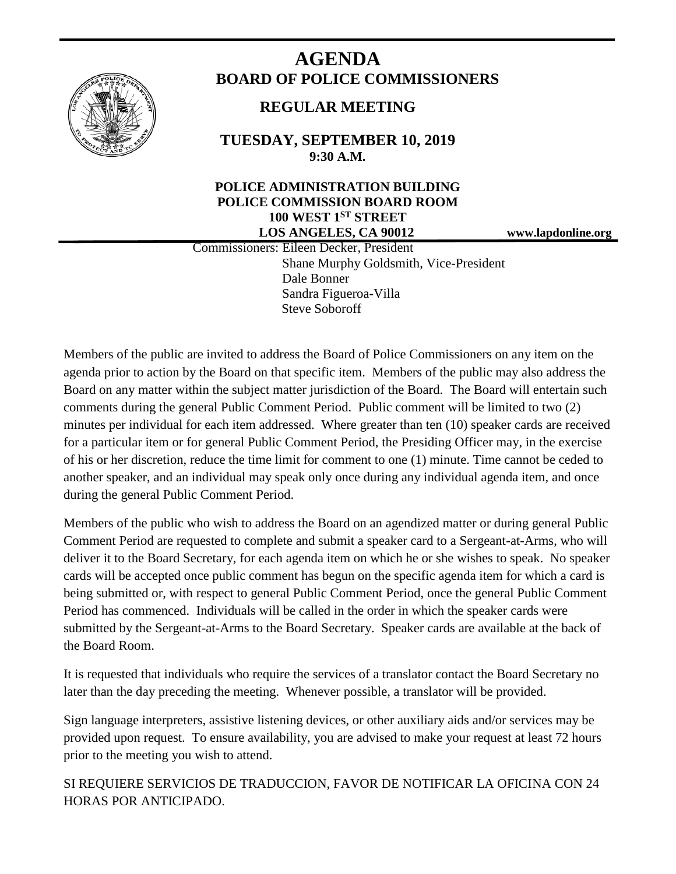

# **AGENDA BOARD OF POLICE COMMISSIONERS**

# **REGULAR MEETING**

**TUESDAY, SEPTEMBER 10, 2019 9:30 A.M.**

## **POLICE ADMINISTRATION BUILDING POLICE COMMISSION BOARD ROOM 100 WEST 1ST STREET LOS ANGELES, CA 90012 www.lapdonline.org**

 Commissioners: Eileen Decker, President Shane Murphy Goldsmith, Vice-President Dale Bonner Sandra Figueroa-Villa Steve Soboroff

Members of the public are invited to address the Board of Police Commissioners on any item on the agenda prior to action by the Board on that specific item. Members of the public may also address the Board on any matter within the subject matter jurisdiction of the Board. The Board will entertain such comments during the general Public Comment Period. Public comment will be limited to two (2) minutes per individual for each item addressed. Where greater than ten (10) speaker cards are received for a particular item or for general Public Comment Period, the Presiding Officer may, in the exercise of his or her discretion, reduce the time limit for comment to one (1) minute. Time cannot be ceded to another speaker, and an individual may speak only once during any individual agenda item, and once during the general Public Comment Period.

Members of the public who wish to address the Board on an agendized matter or during general Public Comment Period are requested to complete and submit a speaker card to a Sergeant-at-Arms, who will deliver it to the Board Secretary, for each agenda item on which he or she wishes to speak. No speaker cards will be accepted once public comment has begun on the specific agenda item for which a card is being submitted or, with respect to general Public Comment Period, once the general Public Comment Period has commenced. Individuals will be called in the order in which the speaker cards were submitted by the Sergeant-at-Arms to the Board Secretary. Speaker cards are available at the back of the Board Room.

It is requested that individuals who require the services of a translator contact the Board Secretary no later than the day preceding the meeting. Whenever possible, a translator will be provided.

Sign language interpreters, assistive listening devices, or other auxiliary aids and/or services may be provided upon request. To ensure availability, you are advised to make your request at least 72 hours prior to the meeting you wish to attend.

SI REQUIERE SERVICIOS DE TRADUCCION, FAVOR DE NOTIFICAR LA OFICINA CON 24 HORAS POR ANTICIPADO.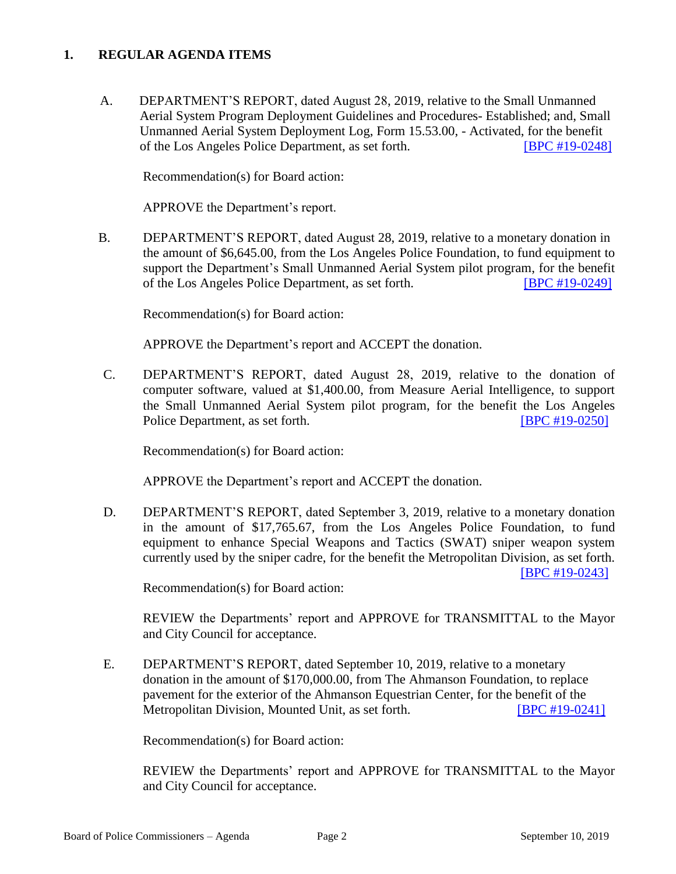#### **1. REGULAR AGENDA ITEMS**

 A. DEPARTMENT'S REPORT, dated August 28, 2019, relative to the Small Unmanned Aerial System Program Deployment Guidelines and Procedures- Established; and, Small Unmanned Aerial System Deployment Log, Form 15.53.00, - Activated, for the benefit of the Los Angeles Police Department, as set forth. [\[BPC #19-0248\]](http://www.lapdpolicecom.lacity.org/091019/BPC_19-0248.pdf)

Recommendation(s) for Board action:

APPROVE the Department's report.

B. DEPARTMENT'S REPORT, dated August 28, 2019, relative to a monetary donation in the amount of \$6,645.00, from the Los Angeles Police Foundation, to fund equipment to support the Department's Small Unmanned Aerial System pilot program, for the benefit of the Los Angeles Police Department, as set forth. [\[BPC #19-0249\]](http://www.lapdpolicecom.lacity.org/091019/BPC_19-0249.pdf)

Recommendation(s) for Board action:

APPROVE the Department's report and ACCEPT the donation.

C. DEPARTMENT'S REPORT, dated August 28, 2019, relative to the donation of computer software, valued at \$1,400.00, from Measure Aerial Intelligence, to support the Small Unmanned Aerial System pilot program, for the benefit the Los Angeles Police Department, as set forth. **[\[BPC #19-0250\]](http://www.lapdpolicecom.lacity.org/091019/BPC_19-0250.pdf)** 

Recommendation(s) for Board action:

APPROVE the Department's report and ACCEPT the donation.

D. DEPARTMENT'S REPORT, dated September 3, 2019, relative to a monetary donation in the amount of \$17,765.67, from the Los Angeles Police Foundation, to fund equipment to enhance Special Weapons and Tactics (SWAT) sniper weapon system currently used by the sniper cadre, for the benefit the Metropolitan Division, as set forth. [\[BPC #19-0243\]](http://www.lapdpolicecom.lacity.org/091019/BPC_19-0243.pdf)

Recommendation(s) for Board action:

REVIEW the Departments' report and APPROVE for TRANSMITTAL to the Mayor and City Council for acceptance.

E. DEPARTMENT'S REPORT, dated September 10, 2019, relative to a monetary donation in the amount of \$170,000.00, from The Ahmanson Foundation, to replace pavement for the exterior of the Ahmanson Equestrian Center, for the benefit of the Metropolitan Division, Mounted Unit, as set forth. **IBPC #19-0241** 

Recommendation(s) for Board action:

REVIEW the Departments' report and APPROVE for TRANSMITTAL to the Mayor and City Council for acceptance.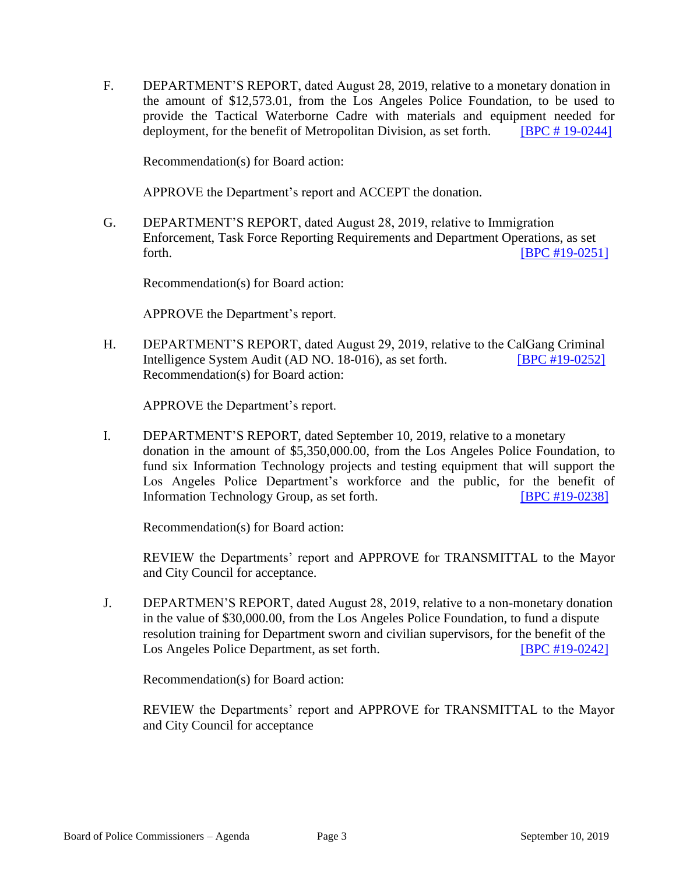F. DEPARTMENT'S REPORT, dated August 28, 2019, relative to a monetary donation in the amount of \$12,573.01, from the Los Angeles Police Foundation, to be used to provide the Tactical Waterborne Cadre with materials and equipment needed for deployment, for the benefit of Metropolitan Division, as set forth. [\[BPC # 19-0244\]](http://www.lapdpolicecom.lacity.org/091019/bpc_19-0244.pdf)

Recommendation(s) for Board action:

APPROVE the Department's report and ACCEPT the donation.

G. DEPARTMENT'S REPORT, dated August 28, 2019, relative to Immigration Enforcement, Task Force Reporting Requirements and Department Operations, as set forth. **[\[BPC #19-0251\]](http://www.lapdpolicecom.lacity.org/091019/BPC_19-0251.pdf)** 

Recommendation(s) for Board action:

APPROVE the Department's report.

H. DEPARTMENT'S REPORT, dated August 29, 2019, relative to the CalGang Criminal Intelligence System Audit (AD NO. 18-016), as set forth. **[\[BPC #19-0252\]](http://www.lapdpolicecom.lacity.org/091019/BPC_19-0252.pdf)** Recommendation(s) for Board action:

APPROVE the Department's report.

I. DEPARTMENT'S REPORT, dated September 10, 2019, relative to a monetary donation in the amount of \$5,350,000.00, from the Los Angeles Police Foundation, to fund six Information Technology projects and testing equipment that will support the Los Angeles Police Department's workforce and the public, for the benefit of Information Technology Group, as set forth. **[\[BPC #19-0238\]](http://www.lapdpolicecom.lacity.org/091019/BPC_19-0238.pdf)** 

Recommendation(s) for Board action:

REVIEW the Departments' report and APPROVE for TRANSMITTAL to the Mayor and City Council for acceptance.

J. DEPARTMEN'S REPORT, dated August 28, 2019, relative to a non-monetary donation in the value of \$30,000.00, from the Los Angeles Police Foundation, to fund a dispute resolution training for Department sworn and civilian supervisors, for the benefit of the Los Angeles Police Department, as set forth. [\[BPC #19-0242\]](http://www.lapdpolicecom.lacity.org/091019/BPC_19-0242.pdf)

Recommendation(s) for Board action:

REVIEW the Departments' report and APPROVE for TRANSMITTAL to the Mayor and City Council for acceptance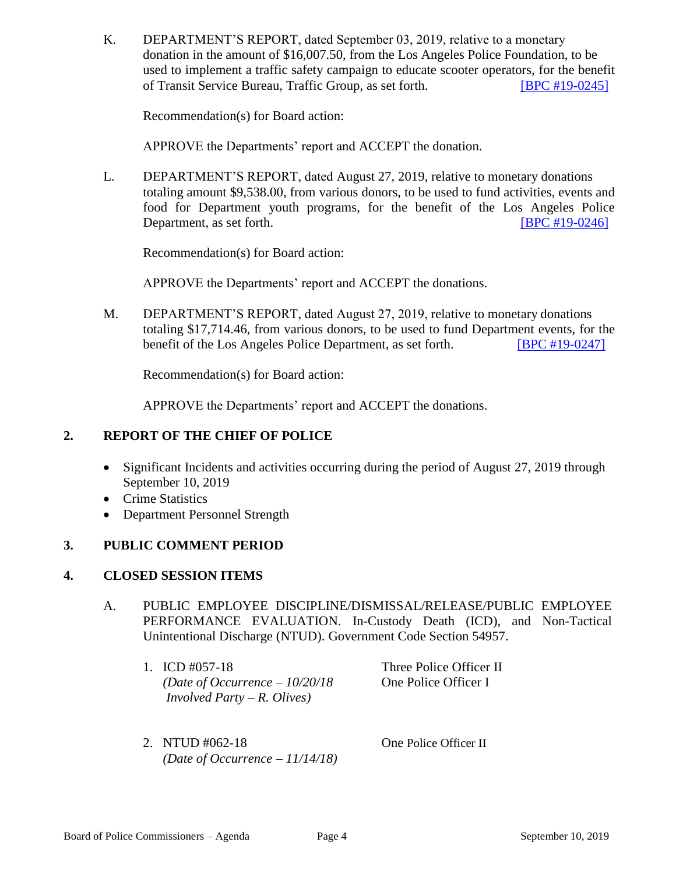K. DEPARTMENT'S REPORT, dated September 03, 2019, relative to a monetary donation in the amount of \$16,007.50, from the Los Angeles Police Foundation, to be used to implement a traffic safety campaign to educate scooter operators, for the benefit of Transit Service Bureau, Traffic Group, as set forth. [\[BPC #19-0245\]](http://www.lapdpolicecom.lacity.org/091019/BPC_19-0245.pdf)

Recommendation(s) for Board action:

APPROVE the Departments' report and ACCEPT the donation.

L. DEPARTMENT'S REPORT, dated August 27, 2019, relative to monetary donations totaling amount \$9,538.00, from various donors, to be used to fund activities, events and food for Department youth programs, for the benefit of the Los Angeles Police Department, as set forth. **IBPC #19-0246** 

Recommendation(s) for Board action:

APPROVE the Departments' report and ACCEPT the donations.

M. DEPARTMENT'S REPORT, dated August 27, 2019, relative to monetary donations totaling \$17,714.46, from various donors, to be used to fund Department events, for the benefit of the Los Angeles Police Department, as set forth. **[\[BPC #19-0247\]](http://www.lapdpolicecom.lacity.org/091019/BPC_19-0247.pdf)** 

Recommendation(s) for Board action:

APPROVE the Departments' report and ACCEPT the donations.

## **2. REPORT OF THE CHIEF OF POLICE**

- Significant Incidents and activities occurring during the period of August 27, 2019 through September 10, 2019
- Crime Statistics
- Department Personnel Strength

#### **3. PUBLIC COMMENT PERIOD**

#### **4. CLOSED SESSION ITEMS**

- A. PUBLIC EMPLOYEE DISCIPLINE/DISMISSAL/RELEASE/PUBLIC EMPLOYEE PERFORMANCE EVALUATION. In-Custody Death (ICD), and Non-Tactical Unintentional Discharge (NTUD). Government Code Section 54957.
	- 1. ICD #057-18 Three Police Officer II *(Date of Occurrence – 10/20/18* One Police Officer I *Involved Party – R. Olives)*

2. NTUD #062-18 One Police Officer II *(Date of Occurrence – 11/14/18)*